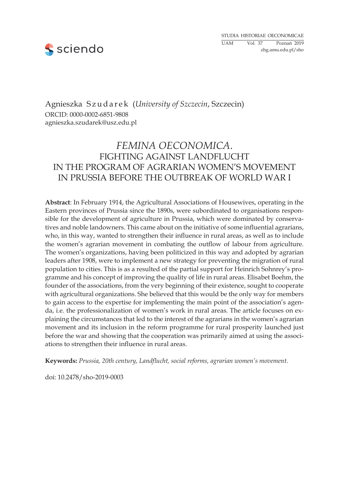

Agnieszka S z u d a r e k (*University of Szczecin*, Szczecin) ORCID: 0000-0002-6851-9808 agnieszka.szudarek@usz.edu.pl

# *Femina oeconomica*. Fighting against Landflucht in the program of agrarian women's movement in Prussia before the outbreak of World War I

**Abstract**: In February 1914, the Agricultural Associations of Housewives, operating in the Eastern provinces of Prussia since the 1890s, were subordinated to organisations responsible for the development of agriculture in Prussia, which were dominated by conservatives and noble landowners. This came about on the initiative of some influential agrarians, who, in this way, wanted to strengthen their influence in rural areas, as well as to include the women's agrarian movement in combating the outflow of labour from agriculture. The women's organizations, having been politicized in this way and adopted by agrarian leaders after 1908, were to implement a new strategy for preventing the migration of rural population to cities. This is as a resulted of the partial support for Heinrich Sohnrey's programme and his concept of improving the quality of life in rural areas. Elisabet Boehm, the founder of the associations, from the very beginning of their existence, sought to cooperate with agricultural organizations. She believed that this would be the only way for members to gain access to the expertise for implementing the main point of the association's agenda, i.e. the professionalization of women's work in rural areas. The article focuses on explaining the circumstances that led to the interest of the agrarians in the women's agrarian movement and its inclusion in the reform programme for rural prosperity launched just before the war and showing that the cooperation was primarily aimed at using the associations to strengthen their influence in rural areas.

**Keywords:** *Prussia, 20th century, Landflucht, social reforms, agrarian women's movement.*

doi: 10.2478/sho-2019-0003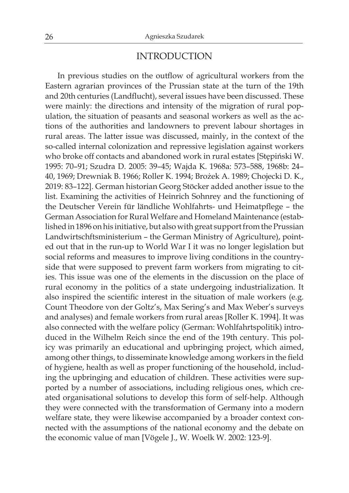### INTRODUCTION

In previous studies on the outflow of agricultural workers from the Eastern agrarian provinces of the Prussian state at the turn of the 19th and 20th centuries (Landflucht), several issues have been discussed. These were mainly: the directions and intensity of the migration of rural population, the situation of peasants and seasonal workers as well as the actions of the authorities and landowners to prevent labour shortages in rural areas. The latter issue was discussed, mainly, in the context of the so-called internal colonization and repressive legislation against workers who broke off contacts and abandoned work in rural estates [Stępiński W. 1995: 70–91; Szudra D. 2005: 39–45; Wajda K. 1968a: 573–588, 1968b: 24– 40, 1969; Drewniak B. 1966; Roller K. 1994; Brożek A. 1989; Chojecki D. K., 2019: 83–122]. German historian Georg Stöcker added another issue to the list. Examining the activities of Heinrich Sohnrey and the functioning of the Deutscher Verein für ländliche Wohlfahrts- und Heimatpflege – the German Association for Rural Welfare and Homeland Maintenance (established in 1896 on his initiative, but also with great support from the Prussian Landwirtschftsministerium – the German Ministry of Agriculture), pointed out that in the run-up to World War I it was no longer legislation but social reforms and measures to improve living conditions in the countryside that were supposed to prevent farm workers from migrating to cities. This issue was one of the elements in the discussion on the place of rural economy in the politics of a state undergoing industrialization. It also inspired the scientific interest in the situation of male workers (e.g. Count Theodore von der Goltz's, Max Sering's and Max Weber's surveys and analyses) and female workers from rural areas [Roller K. 1994]. It was also connected with the welfare policy (German: Wohlfahrtspolitik) introduced in the Wilhelm Reich since the end of the 19th century. This policy was primarily an educational and upbringing project, which aimed, among other things, to disseminate knowledge among workers in the field of hygiene, health as well as proper functioning of the household, including the upbringing and education of children. These activities were supported by a number of associations, including religious ones, which created organisational solutions to develop this form of self-help. Although they were connected with the transformation of Germany into a modern welfare state, they were likewise accompanied by a broader context connected with the assumptions of the national economy and the debate on the economic value of man [Vögele J., W. Woelk W. 2002: 123-9].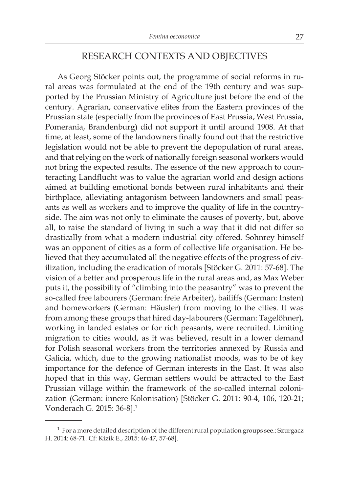## RESEARCH CONTEXTS AND OBJECTIVES

As Georg Stöcker points out, the programme of social reforms in rural areas was formulated at the end of the 19th century and was supported by the Prussian Ministry of Agriculture just before the end of the century. Agrarian, conservative elites from the Eastern provinces of the Prussian state (especially from the provinces of East Prussia, West Prussia, Pomerania, Brandenburg) did not support it until around 1908. At that time, at least, some of the landowners finally found out that the restrictive legislation would not be able to prevent the depopulation of rural areas, and that relying on the work of nationally foreign seasonal workers would not bring the expected results. The essence of the new approach to counteracting Landflucht was to value the agrarian world and design actions aimed at building emotional bonds between rural inhabitants and their birthplace, alleviating antagonism between landowners and small peasants as well as workers and to improve the quality of life in the countryside. The aim was not only to eliminate the causes of poverty, but, above all, to raise the standard of living in such a way that it did not differ so drastically from what a modern industrial city offered. Sohnrey himself was an opponent of cities as a form of collective life organisation. He believed that they accumulated all the negative effects of the progress of civilization, including the eradication of morals [Stöcker G. 2011: 57-68]. The vision of a better and prosperous life in the rural areas and, as Max Weber puts it, the possibility of "climbing into the peasantry" was to prevent the so-called free labourers (German: freie Arbeiter), bailiffs (German: Insten) and homeworkers (German: Häusler) from moving to the cities. It was from among these groups that hired day-labourers (German: Tagelöhner), working in landed estates or for rich peasants, were recruited. Limiting migration to cities would, as it was believed, result in a lower demand for Polish seasonal workers from the territories annexed by Russia and Galicia, which, due to the growing nationalist moods, was to be of key importance for the defence of German interests in the East. It was also hoped that in this way, German settlers would be attracted to the East Prussian village within the framework of the so-called internal colonization (German: innere Kolonisation) [Stöcker G. 2011: 90-4, 106, 120-21; Vonderach G. 2015: 36-8].1

<sup>&</sup>lt;sup>1</sup> For a more detailed description of the different rural population groups see.: Szurgacz H. 2014: 68-71. Cf: Kizik E., 2015: 46-47, 57-68].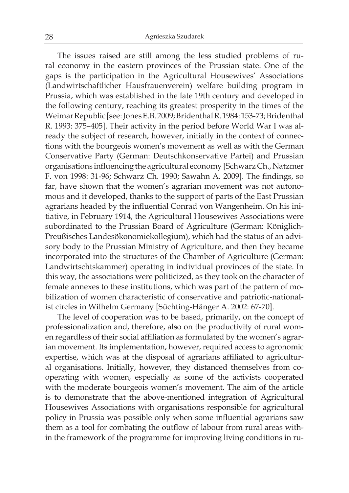The issues raised are still among the less studied problems of rural economy in the eastern provinces of the Prussian state. One of the gaps is the participation in the Agricultural Housewives' Associations (Landwirtschaftlicher Hausfrauenverein) welfare building program in Prussia, which was established in the late 19th century and developed in the following century, reaching its greatest prosperity in the times of the Weimar Republic [see: Jones E.B. 2009; Bridenthal R. 1984: 153-73; Bridenthal R. 1993: 375–405]. Their activity in the period before World War I was already the subject of research, however, initially in the context of connections with the bourgeois women's movement as well as with the German Conservative Party (German: Deutschkonservative Partei) and Prussian organisations influencing the agricultural economy [Schwarz Ch., Natzmer F. von 1998: 31-96; Schwarz Ch. 1990; Sawahn A. 2009]. The findings, so far, have shown that the women's agrarian movement was not autonomous and it developed, thanks to the support of parts of the East Prussian agrarians headed by the influential Conrad von Wangenheim. On his initiative, in February 1914, the Agricultural Housewives Associations were subordinated to the Prussian Board of Agriculture (German: Königlich-Preußisches Landesökonomiekollegium), which had the status of an advisory body to the Prussian Ministry of Agriculture, and then they became incorporated into the structures of the Chamber of Agriculture (German: Landwirtschtskammer) operating in individual provinces of the state. In this way, the associations were politicized, as they took on the character of female annexes to these institutions, which was part of the pattern of mobilization of women characteristic of conservative and patriotic-nationalist circles in Wilhelm Germany [Süchting-Hänger A. 2002: 67-70].

The level of cooperation was to be based, primarily, on the concept of professionalization and, therefore, also on the productivity of rural women regardless of their social affiliation as formulated by the women's agrarian movement. Its implementation, however, required access to agronomic expertise, which was at the disposal of agrarians affiliated to agricultural organisations. Initially, however, they distanced themselves from cooperating with women, especially as some of the activists cooperated with the moderate bourgeois women's movement. The aim of the article is to demonstrate that the above-mentioned integration of Agricultural Housewives Associations with organisations responsible for agricultural policy in Prussia was possible only when some influential agrarians saw them as a tool for combating the outflow of labour from rural areas within the framework of the programme for improving living conditions in ru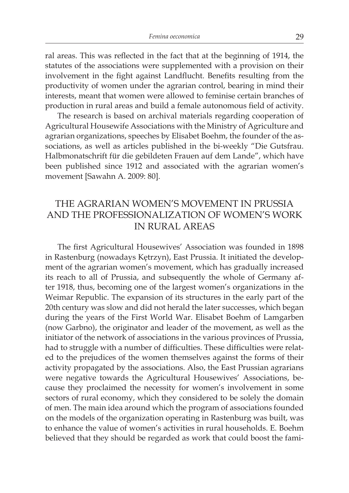ral areas. This was reflected in the fact that at the beginning of 1914, the statutes of the associations were supplemented with a provision on their involvement in the fight against Landflucht. Benefits resulting from the productivity of women under the agrarian control, bearing in mind their interests, meant that women were allowed to feminise certain branches of production in rural areas and build a female autonomous field of activity.

The research is based on archival materials regarding cooperation of Agricultural Housewife Associations with the Ministry of Agriculture and agrarian organizations, speeches by Elisabet Boehm, the founder of the associations, as well as articles published in the bi-weekly "Die Gutsfrau. Halbmonatschrift für die gebildeten Frauen auf dem Lande", which have been published since 1912 and associated with the agrarian women's movement [Sawahn A. 2009: 80].

# THE AGRARIAN WOMEN'S MOVEMENT IN PRUSSIA AND THE PROFESSIONALIZATION OF WOMEN'S WORK IN RURAL AREAS

The first Agricultural Housewives' Association was founded in 1898 in Rastenburg (nowadays Kętrzyn), East Prussia. It initiated the development of the agrarian women's movement, which has gradually increased its reach to all of Prussia, and subsequently the whole of Germany after 1918, thus, becoming one of the largest women's organizations in the Weimar Republic. The expansion of its structures in the early part of the 20th century was slow and did not herald the later successes, which began during the years of the First World War. Elisabet Boehm of Lamgarben (now Garbno), the originator and leader of the movement, as well as the initiator of the network of associations in the various provinces of Prussia, had to struggle with a number of difficulties. These difficulties were related to the prejudices of the women themselves against the forms of their activity propagated by the associations. Also, the East Prussian agrarians were negative towards the Agricultural Housewives' Associations, because they proclaimed the necessity for women's involvement in some sectors of rural economy, which they considered to be solely the domain of men. The main idea around which the program of associations founded on the models of the organization operating in Rastenburg was built, was to enhance the value of women's activities in rural households. E. Boehm believed that they should be regarded as work that could boost the fami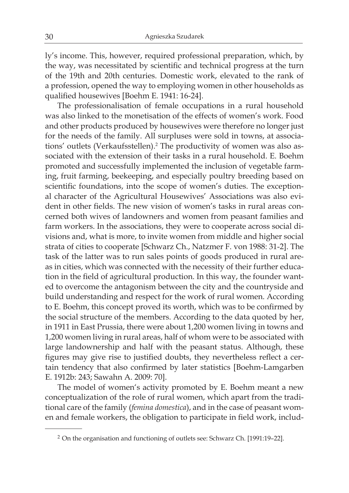ly's income. This, however, required professional preparation, which, by the way, was necessitated by scientific and technical progress at the turn of the 19th and 20th centuries. Domestic work, elevated to the rank of a profession, opened the way to employing women in other households as qualified housewives [Boehm E. 1941: 16-24].

The professionalisation of female occupations in a rural household was also linked to the monetisation of the effects of women's work. Food and other products produced by housewives were therefore no longer just for the needs of the family. All surpluses were sold in towns, at associations' outlets (Verkaufsstellen).<sup>2</sup> The productivity of women was also associated with the extension of their tasks in a rural household. E. Boehm promoted and successfully implemented the inclusion of vegetable farming, fruit farming, beekeeping, and especially poultry breeding based on scientific foundations, into the scope of women's duties. The exceptional character of the Agricultural Housewives' Associations was also evident in other fields. The new vision of women's tasks in rural areas concerned both wives of landowners and women from peasant families and farm workers. In the associations, they were to cooperate across social divisions and, what is more, to invite women from middle and higher social strata of cities to cooperate [Schwarz Ch., Natzmer F. von 1988: 31-2]. The task of the latter was to run sales points of goods produced in rural areas in cities, which was connected with the necessity of their further education in the field of agricultural production. In this way, the founder wanted to overcome the antagonism between the city and the countryside and build understanding and respect for the work of rural women. According to E. Boehm, this concept proved its worth, which was to be confirmed by the social structure of the members. According to the data quoted by her, in 1911 in East Prussia, there were about 1,200 women living in towns and 1,200 women living in rural areas, half of whom were to be associated with large landownership and half with the peasant status. Although, these figures may give rise to justified doubts, they nevertheless reflect a certain tendency that also confirmed by later statistics [Boehm-Lamgarben E. 1912b: 243; Sawahn A. 2009: 70].

The model of women's activity promoted by E. Boehm meant a new conceptualization of the role of rural women, which apart from the traditional care of the family (*femina domestica*), and in the case of peasant women and female workers, the obligation to participate in field work, includ-

<sup>&</sup>lt;sup>2</sup> On the organisation and functioning of outlets see: Schwarz Ch. [1991:19-22].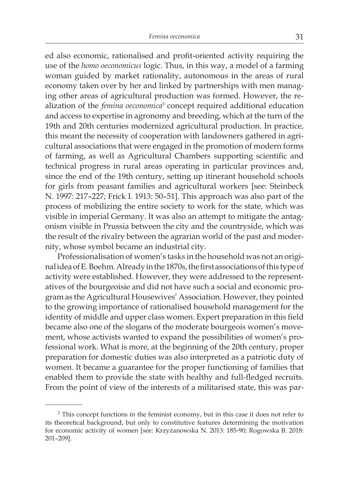ed also economic, rationalised and profit-oriented activity requiring the use of the *homo oeconomicus* logic. Thus, in this way, a model of a farming woman guided by market rationality, autonomous in the areas of rural economy taken over by her and linked by partnerships with men managing other areas of agricultural production was formed. However, the realization of the *femina oeconomica*<sup>3</sup> concept required additional education and access to expertise in agronomy and breeding, which at the turn of the 19th and 20th centuries modernized agricultural production. In practice, this meant the necessity of cooperation with landowners gathered in agricultural associations that were engaged in the promotion of modern forms of farming, as well as Agricultural Chambers supporting scientific and technical progress in rural areas operating in particular provinces and, since the end of the 19th century, setting up itinerant household schools for girls from peasant families and agricultural workers [see: Steinbeck N. 1997: 217–227; Frick I. 1913: 50–51]. This approach was also part of the process of mobilizing the entire society to work for the state, which was visible in imperial Germany. It was also an attempt to mitigate the antagonism visible in Prussia between the city and the countryside, which was the result of the rivalry between the agrarian world of the past and modernity, whose symbol became an industrial city.

Professionalisation of women's tasks in the household was not an original idea of E.Boehm. Already in the 1870s, the first associations of this type of activity were established. However, they were addressed to the representatives of the bourgeoisie and did not have such a social and economic program as the Agricultural Housewives' Association. However, they pointed to the growing importance of rationalised household management for the identity of middle and upper class women. Expert preparation in this field became also one of the slogans of the moderate bourgeois women's movement, whose activists wanted to expand the possibilities of women's professional work. What is more, at the beginning of the 20th century, proper preparation for domestic duties was also interpreted as a patriotic duty of women. It became a guarantee for the proper functioning of families that enabled them to provide the state with healthy and full-fledged recruits. From the point of view of the interests of a militarised state, this was par-

<sup>&</sup>lt;sup>3</sup> This concept functions in the feminist economy, but in this case it does not refer to its theoretical background, but only to constitutive features determining the motivation for economic activity of women [see: Krzyżanowska N. 2013: 185-90; Rogowska B. 2018: 201–209].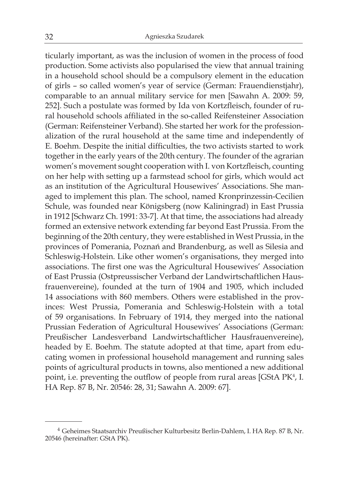ticularly important, as was the inclusion of women in the process of food production. Some activists also popularised the view that annual training in a household school should be a compulsory element in the education of girls – so called women's year of service (German: Frauendienstjahr), comparable to an annual military service for men [Sawahn A. 2009: 59, 252]. Such a postulate was formed by Ida von Kortzfleisch, founder of rural household schools affiliated in the so-called Reifensteiner Association (German: Reifensteiner Verband). She started her work for the professionalization of the rural household at the same time and independently of E. Boehm. Despite the initial difficulties, the two activists started to work together in the early years of the 20th century. The founder of the agrarian women's movement sought cooperation with I. von Kortzfleisch, counting on her help with setting up a farmstead school for girls, which would act as an institution of the Agricultural Housewives' Associations. She managed to implement this plan. The school, named Kronprinzessin-Cecilien Schule, was founded near Königsberg (now Kaliningrad) in East Prussia in 1912 [Schwarz Ch. 1991: 33-7]. At that time, the associations had already formed an extensive network extending far beyond East Prussia. From the beginning of the 20th century, they were established in West Prussia, in the provinces of Pomerania, Poznań and Brandenburg, as well as Silesia and Schleswig-Holstein. Like other women's organisations, they merged into associations. The first one was the Agricultural Housewives' Association of East Prussia (Ostpreussischer Verband der Landwirtschaftlichen Hausfrauenvereine), founded at the turn of 1904 and 1905, which included 14 associations with 860 members. Others were established in the provinces: West Prussia, Pomerania and Schleswig-Holstein with a total of 59 organisations. In February of 1914, they merged into the national Prussian Federation of Agricultural Housewives' Associations (German: Preußischer Landesverband Landwirtschaftlicher Hausfrauenvereine), headed by E. Boehm. The statute adopted at that time, apart from educating women in professional household management and running sales points of agricultural products in towns, also mentioned a new additional point, i.e. preventing the outflow of people from rural areas [GStA PK<sup>4</sup>, I. HA Rep. 87 B, Nr. 20546: 28, 31; Sawahn A. 2009: 67].

<sup>4</sup> Geheimes Staatsarchiv Preußischer Kulturbesitz Berlin-Dahlem, I. HA Rep. 87 B, Nr. 20546 (hereinafter: GStA PK).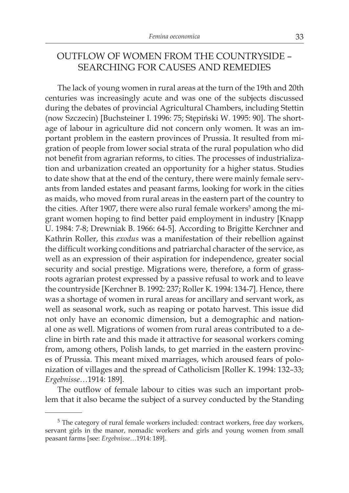# OUTFLOW OF WOMEN FROM THE COUNTRYSIDE – SEARCHING FOR CAUSES AND REMEDIES

The lack of young women in rural areas at the turn of the 19th and 20th centuries was increasingly acute and was one of the subjects discussed during the debates of provincial Agricultural Chambers, including Stettin (now Szczecin) [Buchsteiner I. 1996: 75; Stępiński W. 1995: 90]. The shortage of labour in agriculture did not concern only women. It was an important problem in the eastern provinces of Prussia. It resulted from migration of people from lower social strata of the rural population who did not benefit from agrarian reforms, to cities. The processes of industrialization and urbanization created an opportunity for a higher status. Studies to date show that at the end of the century, there were mainly female servants from landed estates and peasant farms, looking for work in the cities as maids, who moved from rural areas in the eastern part of the country to the cities. After 1907, there were also rural female workers<sup>5</sup> among the migrant women hoping to find better paid employment in industry [Knapp U. 1984: 7-8; Drewniak B. 1966: 64-5]. According to Brigitte Kerchner and Kathrin Roller, this *exodus* was a manifestation of their rebellion against the difficult working conditions and patriarchal character of the service, as well as an expression of their aspiration for independence, greater social security and social prestige. Migrations were, therefore, a form of grassroots agrarian protest expressed by a passive refusal to work and to leave the countryside [Kerchner B. 1992: 237; Roller K. 1994: 134-7]. Hence, there was a shortage of women in rural areas for ancillary and servant work, as well as seasonal work, such as reaping or potato harvest. This issue did not only have an economic dimension, but a demographic and national one as well. Migrations of women from rural areas contributed to a decline in birth rate and this made it attractive for seasonal workers coming from, among others, Polish lands, to get married in the eastern provinces of Prussia. This meant mixed marriages, which aroused fears of polonization of villages and the spread of Catholicism [Roller K. 1994: 132–33; *Ergebnisse…*1914: 189].

The outflow of female labour to cities was such an important problem that it also became the subject of a survey conducted by the Standing

<sup>5</sup> The category of rural female workers included: contract workers, free day workers, servant girls in the manor, nomadic workers and girls and young women from small peasant farms [see: *Ergebnisse…*1914: 189].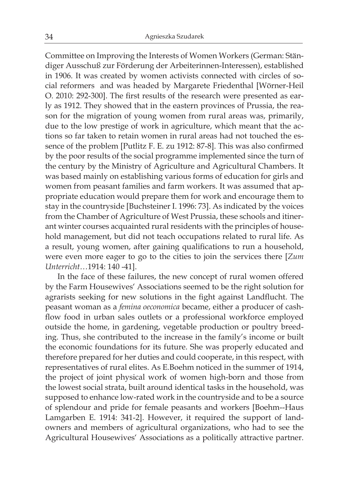Committee on Improving the Interests of Women Workers (German: Ständiger Ausschuß zur Förderung der Arbeiterinnen-Interessen), established in 1906. It was created by women activists connected with circles of social reformers and was headed by Margarete Friedenthal [Wörner-Heil O. 2010: 292-300]. The first results of the research were presented as early as 1912. They showed that in the eastern provinces of Prussia, the reason for the migration of young women from rural areas was, primarily, due to the low prestige of work in agriculture, which meant that the actions so far taken to retain women in rural areas had not touched the essence of the problem [Putlitz F. E. zu 1912: 87-8]. This was also confirmed by the poor results of the social programme implemented since the turn of the century by the Ministry of Agriculture and Agricultural Chambers. It was based mainly on establishing various forms of education for girls and women from peasant families and farm workers. It was assumed that appropriate education would prepare them for work and encourage them to stay in the countryside [Buchsteiner I. 1996: 73]. As indicated by the voices from the Chamber of Agriculture of West Prussia, these schools and itinerant winter courses acquainted rural residents with the principles of household management, but did not teach occupations related to rural life. As a result, young women, after gaining qualifications to run a household, were even more eager to go to the cities to join the services there [*Zum Unterricht…*1914: 140 -41].

In the face of these failures, the new concept of rural women offered by the Farm Housewives' Associations seemed to be the right solution for agrarists seeking for new solutions in the fight against Landflucht. The peasant woman as a *femina oeconomica* became, either a producer of cashflow food in urban sales outlets or a professional workforce employed outside the home, in gardening, vegetable production or poultry breeding. Thus, she contributed to the increase in the family's income or built the economic foundations for its future. She was properly educated and therefore prepared for her duties and could cooperate, in this respect, with representatives of rural elites. As E.Boehm noticed in the summer of 1914, the project of joint physical work of women high-born and those from the lowest social strata, built around identical tasks in the household, was supposed to enhance low-rated work in the countryside and to be a source of splendour and pride for female peasants and workers [Boehm--Haus Lamgarben E. 1914: 341-2]. However, it required the support of landowners and members of agricultural organizations, who had to see the Agricultural Housewives' Associations as a politically attractive partner.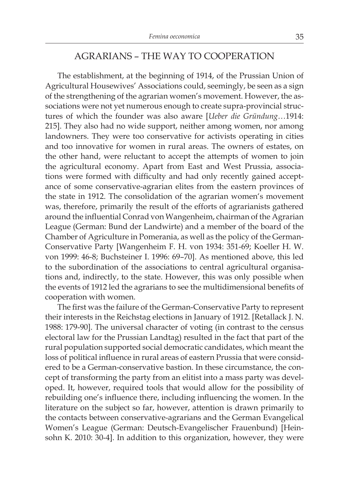## AGRARIANS – THE WAY TO COOPERATION

The establishment, at the beginning of 1914, of the Prussian Union of Agricultural Housewives' Associations could, seemingly, be seen as a sign of the strengthening of the agrarian women's movement. However, the associations were not yet numerous enough to create supra-provincial structures of which the founder was also aware [*Ueber die Gründung…*1914: 215]. They also had no wide support, neither among women, nor among landowners. They were too conservative for activists operating in cities and too innovative for women in rural areas. The owners of estates, on the other hand, were reluctant to accept the attempts of women to join the agricultural economy. Apart from East and West Prussia, associations were formed with difficulty and had only recently gained acceptance of some conservative-agrarian elites from the eastern provinces of the state in 1912. The consolidation of the agrarian women's movement was, therefore, primarily the result of the efforts of agrarianists gathered around the influential Conrad von Wangenheim, chairman of the Agrarian League (German: Bund der Landwirte) and a member of the board of the Chamber of Agriculture in Pomerania, as well as the policy of the German-Conservative Party [Wangenheim F. H. von 1934: 351-69; Koeller H. W. von 1999: 46-8; Buchsteiner I. 1996: 69–70]. As mentioned above, this led to the subordination of the associations to central agricultural organisations and, indirectly, to the state. However, this was only possible when the events of 1912 led the agrarians to see the multidimensional benefits of cooperation with women.

The first was the failure of the German-Conservative Party to represent their interests in the Reichstag elections in January of 1912. [Retallack J. N. 1988: 179-90]. The universal character of voting (in contrast to the census electoral law for the Prussian Landtag) resulted in the fact that part of the rural population supported social democratic candidates, which meant the loss of political influence in rural areas of eastern Prussia that were considered to be a German-conservative bastion. In these circumstance, the concept of transforming the party from an elitist into a mass party was developed. It, however, required tools that would allow for the possibility of rebuilding one's influence there, including influencing the women. In the literature on the subject so far, however, attention is drawn primarily to the contacts between conservative-agrarians and the German Evangelical Women's League (German: Deutsch-Evangelischer Frauenbund) [Heinsohn K. 2010: 30-4]. In addition to this organization, however, they were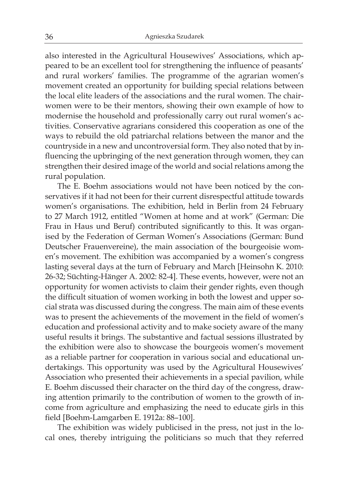also interested in the Agricultural Housewives' Associations, which appeared to be an excellent tool for strengthening the influence of peasants' and rural workers' families. The programme of the agrarian women's movement created an opportunity for building special relations between the local elite leaders of the associations and the rural women. The chairwomen were to be their mentors, showing their own example of how to modernise the household and professionally carry out rural women's activities. Conservative agrarians considered this cooperation as one of the ways to rebuild the old patriarchal relations between the manor and the countryside in a new and uncontroversial form. They also noted that by influencing the upbringing of the next generation through women, they can strengthen their desired image of the world and social relations among the rural population.

The E. Boehm associations would not have been noticed by the conservatives if it had not been for their current disrespectful attitude towards women's organisations. The exhibition, held in Berlin from 24 February to 27 March 1912, entitled "Women at home and at work" (German: Die Frau in Haus und Beruf) contributed significantly to this. It was organised by the Federation of German Women's Associations (German: Bund Deutscher Frauenvereine), the main association of the bourgeoisie women's movement. The exhibition was accompanied by a women's congress lasting several days at the turn of February and March [Heinsohn K. 2010: 26-32; Süchting-Hänger A. 2002: 82-4]. These events, however, were not an opportunity for women activists to claim their gender rights, even though the difficult situation of women working in both the lowest and upper social strata was discussed during the congress. The main aim of these events was to present the achievements of the movement in the field of women's education and professional activity and to make society aware of the many useful results it brings. The substantive and factual sessions illustrated by the exhibition were also to showcase the bourgeois women's movement as a reliable partner for cooperation in various social and educational undertakings. This opportunity was used by the Agricultural Housewives' Association who presented their achievements in a special pavilion, while E. Boehm discussed their character on the third day of the congress, drawing attention primarily to the contribution of women to the growth of income from agriculture and emphasizing the need to educate girls in this field [Boehm-Lamgarben E. 1912a: 88–100].

The exhibition was widely publicised in the press, not just in the local ones, thereby intriguing the politicians so much that they referred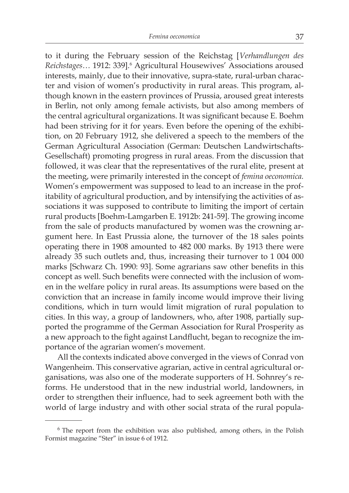to it during the February session of the Reichstag [*Verhandlungen des*  Reichstages... 1912: 339].<sup>6</sup> Agricultural Housewives' Associations aroused interests, mainly, due to their innovative, supra-state, rural-urban character and vision of women's productivity in rural areas. This program, although known in the eastern provinces of Prussia, aroused great interests in Berlin, not only among female activists, but also among members of the central agricultural organizations. It was significant because E. Boehm had been striving for it for years. Even before the opening of the exhibition, on 20 February 1912, she delivered a speech to the members of the German Agricultural Association (German: Deutschen Landwirtschafts-Gesellschaft) promoting progress in rural areas. From the discussion that followed, it was clear that the representatives of the rural elite, present at the meeting, were primarily interested in the concept of *femina oeconomica.* Women's empowerment was supposed to lead to an increase in the profitability of agricultural production, and by intensifying the activities of associations it was supposed to contribute to limiting the import of certain rural products [Boehm-Lamgarben E. 1912b: 241-59]. The growing income from the sale of products manufactured by women was the crowning argument here. In East Prussia alone, the turnover of the 18 sales points operating there in 1908 amounted to 482 000 marks. By 1913 there were already 35 such outlets and, thus, increasing their turnover to 1 004 000 marks [Schwarz Ch. 1990: 93]. Some agrarians saw other benefits in this concept as well. Such benefits were connected with the inclusion of women in the welfare policy in rural areas. Its assumptions were based on the conviction that an increase in family income would improve their living conditions, which in turn would limit migration of rural population to cities. In this way, a group of landowners, who, after 1908, partially supported the programme of the German Association for Rural Prosperity as a new approach to the fight against Landflucht, began to recognize the importance of the agrarian women's movement.

All the contexts indicated above converged in the views of Conrad von Wangenheim. This conservative agrarian, active in central agricultural organisations, was also one of the moderate supporters of H. Sohnrey's reforms. He understood that in the new industrial world, landowners, in order to strengthen their influence, had to seek agreement both with the world of large industry and with other social strata of the rural popula-

<sup>&</sup>lt;sup>6</sup> The report from the exhibition was also published, among others, in the Polish Formist magazine "Ster" in issue 6 of 1912.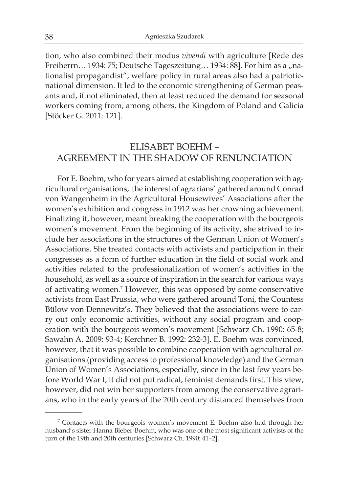tion, who also combined their modus *vivendi* with agriculture [Rede des Freiherrn... 1934: 75; Deutsche Tageszeitung... 1934: 88]. For him as a "nationalist propagandist", welfare policy in rural areas also had a patrioticnational dimension. It led to the economic strengthening of German peasants and, if not eliminated, then at least reduced the demand for seasonal workers coming from, among others, the Kingdom of Poland and Galicia [Stöcker G. 2011: 121].

# ELISABET BOEHM – AGREEMENT IN THE SHADOW OF RENUNCIATION

For E. Boehm, who for years aimed at establishing cooperation with agricultural organisations, the interest of agrarians' gathered around Conrad von Wangenheim in the Agricultural Housewives' Associations after the women's exhibition and congress in 1912 was her crowning achievement. Finalizing it, however, meant breaking the cooperation with the bourgeois women's movement. From the beginning of its activity, she strived to include her associations in the structures of the German Union of Women's Associations. She treated contacts with activists and participation in their congresses as a form of further education in the field of social work and activities related to the professionalization of women's activities in the household, as well as a source of inspiration in the search for various ways of activating women.7 However, this was opposed by some conservative activists from East Prussia, who were gathered around Toni, the Countess Bülow von Dennewitz's. They believed that the associations were to carry out only economic activities, without any social program and cooperation with the bourgeois women's movement [Schwarz Ch. 1990: 65-8; Sawahn A. 2009: 93-4; Kerchner B. 1992: 232-3]. E. Boehm was convinced, however, that it was possible to combine cooperation with agricultural organisations (providing access to professional knowledge) and the German Union of Women's Associations, especially, since in the last few years before World War I, it did not put radical, feminist demands first. This view, however, did not win her supporters from among the conservative agrarians, who in the early years of the 20th century distanced themselves from

<sup>&</sup>lt;sup>7</sup> Contacts with the bourgeois women's movement E. Boehm also had through her husband's sister Hanna Bieber-Boehm, who was one of the most significant activists of the turn of the 19th and 20th centuries [Schwarz Ch. 1990: 41–2].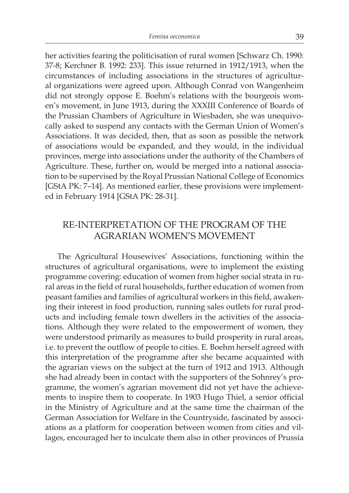her activities fearing the politicisation of rural women [Schwarz Ch. 1990: 37-8; Kerchner B. 1992: 233]. This issue returned in 1912/1913, when the circumstances of including associations in the structures of agricultural organizations were agreed upon. Although Conrad von Wangenheim did not strongly oppose E. Boehm's relations with the bourgeois women's movement, in June 1913, during the XXXIII Conference of Boards of the Prussian Chambers of Agriculture in Wiesbaden, she was unequivocally asked to suspend any contacts with the German Union of Women's Associations. It was decided, then, that as soon as possible the network of associations would be expanded, and they would, in the individual provinces, merge into associations under the authority of the Chambers of Agriculture. These, further on, would be merged into a national association to be supervised by the Royal Prussian National College of Economics [GStA PK: 7–14]. As mentioned earlier, these provisions were implemented in February 1914 [GStA PK: 28-31].

# RE-INTERPRETATION OF THE PROGRAM OF THE AGRARIAN WOMEN'S MOVEMENT

The Agricultural Housewives' Associations, functioning within the structures of agricultural organisations, were to implement the existing programme covering: education of women from higher social strata in rural areas in the field of rural households, further education of women from peasant families and families of agricultural workers in this field, awakening their interest in food production, running sales outlets for rural products and including female town dwellers in the activities of the associations. Although they were related to the empowerment of women, they were understood primarily as measures to build prosperity in rural areas, i.e. to prevent the outflow of people to cities. E. Boehm herself agreed with this interpretation of the programme after she became acquainted with the agrarian views on the subject at the turn of 1912 and 1913. Although she had already been in contact with the supporters of the Sohnrey's programme, the women's agrarian movement did not yet have the achievements to inspire them to cooperate. In 1903 Hugo Thiel, a senior official in the Ministry of Agriculture and at the same time the chairman of the German Association for Welfare in the Countryside, fascinated by associations as a platform for cooperation between women from cities and villages, encouraged her to inculcate them also in other provinces of Prussia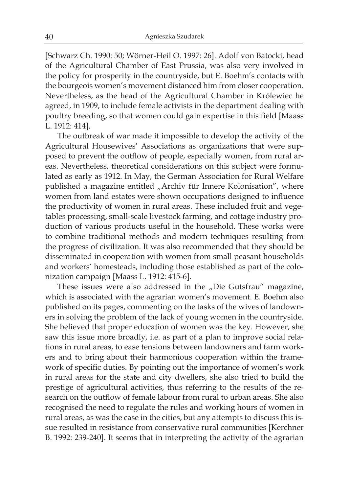[Schwarz Ch. 1990: 50; Wörner-Heil O. 1997: 26]. Adolf von Batocki, head of the Agricultural Chamber of East Prussia, was also very involved in the policy for prosperity in the countryside, but E. Boehm's contacts with the bourgeois women's movement distanced him from closer cooperation. Nevertheless, as the head of the Agricultural Chamber in Królewiec he agreed, in 1909, to include female activists in the department dealing with poultry breeding, so that women could gain expertise in this field [Maass L. 1912: 414].

The outbreak of war made it impossible to develop the activity of the Agricultural Housewives' Associations as organizations that were supposed to prevent the outflow of people, especially women, from rural areas. Nevertheless, theoretical considerations on this subject were formulated as early as 1912. In May, the German Association for Rural Welfare published a magazine entitled "Archiv für Innere Kolonisation", where women from land estates were shown occupations designed to influence the productivity of women in rural areas. These included fruit and vegetables processing, small-scale livestock farming, and cottage industry production of various products useful in the household. These works were to combine traditional methods and modern techniques resulting from the progress of civilization. It was also recommended that they should be disseminated in cooperation with women from small peasant households and workers' homesteads, including those established as part of the colonization campaign [Maass L. 1912: 415-6].

These issues were also addressed in the "Die Gutsfrau" magazine, which is associated with the agrarian women's movement. E. Boehm also published on its pages, commenting on the tasks of the wives of landowners in solving the problem of the lack of young women in the countryside. She believed that proper education of women was the key. However, she saw this issue more broadly, i.e. as part of a plan to improve social relations in rural areas, to ease tensions between landowners and farm workers and to bring about their harmonious cooperation within the framework of specific duties. By pointing out the importance of women's work in rural areas for the state and city dwellers, she also tried to build the prestige of agricultural activities, thus referring to the results of the research on the outflow of female labour from rural to urban areas. She also recognised the need to regulate the rules and working hours of women in rural areas, as was the case in the cities, but any attempts to discuss this issue resulted in resistance from conservative rural communities [Kerchner B. 1992: 239-240]. It seems that in interpreting the activity of the agrarian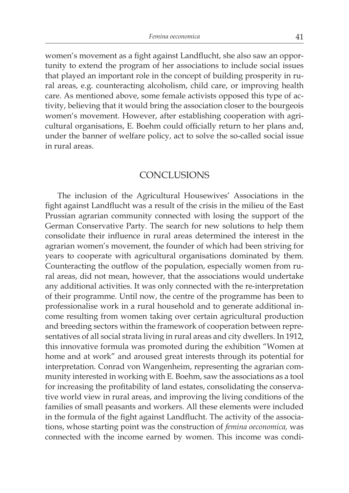women's movement as a fight against Landflucht, she also saw an opportunity to extend the program of her associations to include social issues that played an important role in the concept of building prosperity in rural areas, e.g. counteracting alcoholism, child care, or improving health care. As mentioned above, some female activists opposed this type of activity, believing that it would bring the association closer to the bourgeois women's movement. However, after establishing cooperation with agricultural organisations, E. Boehm could officially return to her plans and, under the banner of welfare policy, act to solve the so-called social issue in rural areas.

### CONCLUSIONS

The inclusion of the Agricultural Housewives' Associations in the fight against Landflucht was a result of the crisis in the milieu of the East Prussian agrarian community connected with losing the support of the German Conservative Party. The search for new solutions to help them consolidate their influence in rural areas determined the interest in the agrarian women's movement, the founder of which had been striving for years to cooperate with agricultural organisations dominated by them. Counteracting the outflow of the population, especially women from rural areas, did not mean, however, that the associations would undertake any additional activities. It was only connected with the re-interpretation of their programme. Until now, the centre of the programme has been to professionalise work in a rural household and to generate additional income resulting from women taking over certain agricultural production and breeding sectors within the framework of cooperation between representatives of all social strata living in rural areas and city dwellers. In 1912, this innovative formula was promoted during the exhibition "Women at home and at work" and aroused great interests through its potential for interpretation. Conrad von Wangenheim, representing the agrarian community interested in working with E. Boehm, saw the associations as a tool for increasing the profitability of land estates, consolidating the conservative world view in rural areas, and improving the living conditions of the families of small peasants and workers. All these elements were included in the formula of the fight against Landflucht. The activity of the associations, whose starting point was the construction of *femina oeconomica,* was connected with the income earned by women. This income was condi-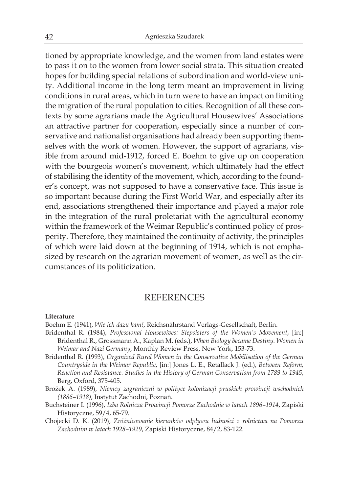tioned by appropriate knowledge, and the women from land estates were to pass it on to the women from lower social strata. This situation created hopes for building special relations of subordination and world-view unity. Additional income in the long term meant an improvement in living conditions in rural areas, which in turn were to have an impact on limiting the migration of the rural population to cities. Recognition of all these contexts by some agrarians made the Agricultural Housewives' Associations an attractive partner for cooperation, especially since a number of conservative and nationalist organisations had already been supporting themselves with the work of women. However, the support of agrarians, visible from around mid-1912, forced E. Boehm to give up on cooperation with the bourgeois women's movement, which ultimately had the effect of stabilising the identity of the movement, which, according to the founder's concept, was not supposed to have a conservative face. This issue is so important because during the First World War, and especially after its end, associations strengthened their importance and played a major role in the integration of the rural proletariat with the agricultural economy within the framework of the Weimar Republic's continued policy of prosperity. Therefore, they maintained the continuity of activity, the principles of which were laid down at the beginning of 1914, which is not emphasized by research on the agrarian movement of women, as well as the circumstances of its politicization.

## **REFERENCES**

#### **Literature**

Boehm E. (1941), *Wie ich dazu kam!*, Reichsnährstand Verlags-Gesellschaft, Berlin.

- Bridenthal R. (1984), *Professional Housewives: Stepsisters of the Women's Movement*, [in:] Bridenthal R., Grossmann A., Kaplan M. (eds.), *When Biology became Destiny. Women in Weimar and Nazi Germany*, Monthly Review Press, New York, 153-73.
- Bridenthal R. (1993), *Organized Rural Women in the Conservative Mobilisation of the German Countryside in the Weimar Republic*, [in:] Jones L. E., Retallack J. (ed.), *Between Reform, Reaction and Resistance. Studies in the History of German Conservatism from 1789 to 1945*, Berg, Oxford, 375-405.
- Brożek A. (1989), *Niemcy zagraniczni w polityce kolonizacji pruskich prowincji wschodnich (1886–1918)*, Instytut Zachodni, Poznań.
- Buchsteiner I. (1996), *Izba Rolnicza Prowincji Pomorze Zachodnie w latach 1896–1914*, Zapiski Historyczne, 59/4, 65-79.
- Chojecki D. K. (2019), *Zróżnicowanie kierunków odpływu ludności z rolnictwa na Pomorzu Zachodnim w latach 1928–1929*, Zapiski Historyczne, 84/2, 83-122.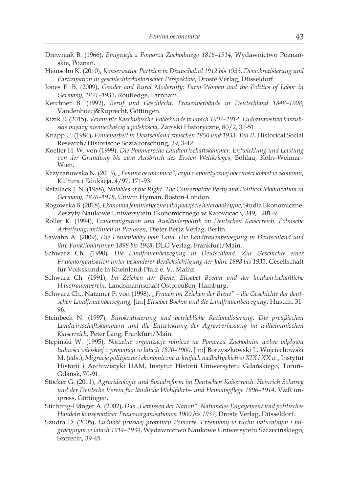- Drewniak B. (1966), *Emigracja z Pomorza Zachodniego 1816–1914*, Wydawnictwo Poznańskie, Poznań.
- Heinsohn K. (2010), *Konservative Parteien in Deutschalnd 1912 bis 1933. Demokratisierung und Partizipation in geschlechterhistorischer Perspektive*, Droste Verlag, Düsseldorf.
- Jones E. B. (2009), *Gender and Rural Modernity: Farm Women and the Politics of Labor in Germany*, *1871–1933*, Routledge, Farnham.
- Kerchner B. (1992), *Beruf und Geschlecht. Frauenverbände in Deutschland 1848–1908*, Vandenhoecj&Ruprecht, Göttingen.
- Kizik E. (2015), *Verein für Kaschubische Volkskunde w latach 1907–1914. Ludoznawstwo kaszubskie między niemieckością a polskością*, Zapiski Historyczne, 80/2, 31-51.
- Knapp U. (1984), *Frauenarbeit in Deutschland zwischen 1850 und 1933*. *Teil II*, Historical Social Research/Historische Sozialforschung, 29, 3-42.
- Koeller H. W. von (1999), *Die Pommersche Landwirtschaftskammer. Entwicklung und Leistung von der Gründung bis zum Ausbruch des Ersten Weltkrieges*, Böhlau, Köln–Weimar– Wien.
- Krzyżanowska N. (2013), *"Femina oeconomica", czyli o aporetycznej obecności kobiet w ekonomii*, Kultura i Edukacja, 4/97, 171-93.
- Retallack J. N. (1988), *Notables of the Right. The Conservative Party and Political Mobilization in Germany, 1876–1918*, Unwin Hyman, Boston-London.
- Rogowska B. (2018)*, Ekonomia feministyczna jako podejście heterodoksyjne*, Studia Ekonomiczne. Zeszyty Naukowe Uniwersytetu Ekonomicznego w Katowicach, 349, . 201-9.
- Roller K. (1994), *Frauenmigration und Ausländerpolitik im Deutschen Kaiserreich. Polnische Arbeitsmigrantinnen in Preussen*, Dieter Bertz Verlag, Berlin.
- Sawahn A. (2009), *Die Frauenlobby vom Land. Die Landfrauenbewegung in Deutschland und ihre Funktionärinnen 1898 bis 1948*, DLG Verlag, Frankfurt/Main.
- Schwarz Ch. (1990), *Die Landfrauenbewegung in Deutschland. Zur Geschichte einer Frauenorganisation unter besonderer Berücksichtigung der Jahre 1898 bis 1933*, Gesellschaft für Volkskunde in Rheinland-Pfalz e. V., Mainz.
- Schwarz Ch. (1991), *Im Zeichen der Biene. Elisabet Boehm und der landwirtschaftliche Hausfrauenverein*, Landsmannschaft Ostpreußen, Hamburg.
- Schwarz Ch., Natzmer F. von (1998), *"Frauen im Zeichen der Biene" die Geschichte der deutschen Landfrauenbewegung,* [in:] *Elisabet Boehm und die Landfrauenbewegung*, Husum, 31- 96.
- Steinbeck N. (1997), *Bürokratisierung und betriebliche Rationalisierung. Die preußischen Landwirtschaftskammern und die Entwicklung der Agrarverfassung im wilhelminischen Kaiserreich*, Peter Lang, Frankfurt/Main.
- Stępiński W. (1995), *Naczelne organizacje rolnicze na Pomorzu Zachodnim wobec odpływu ludności wiejskiej z prowincji w latach 1870–1900*, [in:] Borzyszkowski J., Wojciechowski M. (eds.), *Migracje polityczne i ekonomiczne w krajach nadbałtyckich w XIX i XX w.*, Instytut Historii i Archiwistyki UAM, Instytut Historii Uniwersytetu Gdańskiego, Toruń– Gdańsk, 70-91.
- Stöcker G. (2011), *Agrarideologie und Sozialreform im Deutschen Kaiserreich. Heinrich Sohnrey und der Deutsche Verein für ländliche Wohlfahrts- und Heimatspflege 1896–1914*, V&R unipress, Göttingen.
- Süchting-Hänger A. (2002), *Das "Gewissen der Nation". Nationales Engagement und politisches Handeln konservativer Frauenorganisationen 1900 bis 1937*, Droste Verlag, Düsseldorf.
- Szudra D. (2005), *Ludność pruskiej prowincji Pomorze. Przemiany w ruchu naturalnym i migracyjnym w latach 1914–1939*, Wydawnictwo Naukowe Uniwersytetu Szczecińskiego, Szczecin, 39-45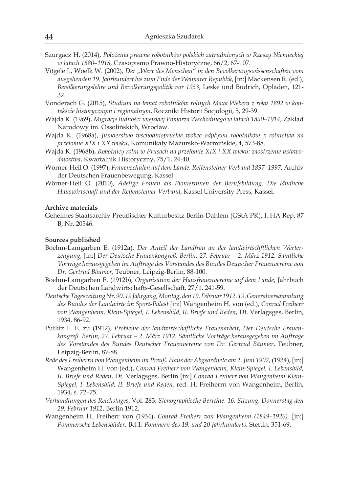- Szurgacz H. (2014), *Położenia prawne robotników polskich zatrudnionych w Rzeszy Niemieckiej w latach 1880–1918,* Czasopismo Prawno-Historyczne, 66/2, 67-107.
- Vögele J., Woelk W. (2002), *Der "Wert des Menschen" in den Bevölkerungswissenschaften vom ausgehenden 19. Jahrhundert bis zum Ende der Weimarer Republik*, [in:] Mackensen R. (ed.), *Bevölkerungslehre und Bevölkerungspolitik vor 1933*, Leske und Budrich, Opladen, 121- 32.
- Vonderach G. (2015), *Studium na temat robotników rolnych Maxa Webera z roku 1892 w kontekście historycznym i regionalnym*, Roczniki Historii Socjologii, 5, 29-39.
- Wajda K. (1969), *Migracje ludności wiejskiej Pomorza Wschodniego w latach 1850–1914*, Zakład Narodowy im. Ossolińskich, Wrocław.
- Wajda K. (1968a), *Junkierstwo wschodniopruskie wobec odpływu robotników z rolnictwa na przełomie XIX i XX wieku*, Komunikaty Mazursko-Warmińskie, 4, 573-88.
- Wajda K. (1968b), *Robotnicy rolni w Prusach na przełomie XIX i XX wieku: zaostrzenie ustawodawstwa*, Kwartalnik Historyczny, 75/1, 24-40.
- Wörner-Heil O. (1997), *Frauenschulen auf dem Lande. Reifensteiner Verband 1897–1997*, Archiv der Deutschen Frauenbewegung, Kassel.
- Wörner-Heil O. (2010), *Adelige Frauen als Pionierinnen der Berufsbildung. Die ländliche Hauswirtschaft und der Reifensteiner Verband*, Kassel University Press, Kassel.

### **Archive materials**

Geheimes Staatsarchiv Preußischer Kulturbesitz Berlin-Dahlem (GStA PK), I. HA Rep. 87 B, Nr. 20546.

#### **Sources published**

- Boehm-Lamgarben E. (1912a), *Der Anteil der Landfrau an der landwirtschftlichen Werterzeugung*, [in:] *Der Deutsche Frauenkongreß. Berlin, 27. Februar – 2. März 1912. Sämtliche Vorträge herausgegeben im Auftrage des Vorstandes des Bundes Deutscher Frauenvereine von Dr. Gertrud Bäumer*, Teubner, Leipzig-Berlin, 88-100.
- Boehm-Lamgarben E. (1912b), *Organisation der Hausfrauenvereine auf dem Lande*, Jahrbuch der Deutschen Landwirtschafts-Gesellschaft, 27/1, 241-59.
- *Deutsche Tageszeitung Nr. 90. 19 Jahrgang, Montag, den 19. Februar 1912. 19. Generalversammlung des Bundes der Landwirte im Sport-Palast* [in:] Wangenheim H. von (ed.), *Conrad Freiherr von Wangenheim, Klein-Spiegel, I. Lebensbild, II. Briefe und Reden*, Dt. Verlagsges, Berlin, 1934, 86-92.
- Putlitz F. E. zu (1912), *Probleme der landwirtschaftliche Frauenarbeit*, *Der Deutsche Frauenkongreß. Berlin, 27. Februar – 2. März 1912. Sämtliche Vorträge herausgegeben im Auftrage des Vorstandes des Bundes Deutscher Frauenvereine von Dr. Gertrud Bäumer*, Teubner, Leipzig-Berlin, 87-88.
- *Rede des Freiherrn von Wangenheim im Preuß. Haus der Abgeordnete am 2. Juni 1902*, (1934), [in:] Wangenheim H. von (ed.), *Conrad Freiherr von Wangenheim, Klein-Spiegel, I. Lebensbild, II. Briefe und Reden*, Dt. Verlagsges, Berlin [in:] *Conrad Freiherr von Wangenheim Klein-Spiegel, I. Lebensbild, II. Briefe und Reden,* red. H. Freiherrn von Wangenheim, Berlin, 1934, s. 72–75.
- *Verhandlungen des Reichstages*, Vol. 283, *Stenographische Berichte. 16. Sitzung. Donnerstag den 29. Februar 1912*, Berlin 1912.
- Wangenheim H. Freiherr von (1934), *Conrad Freiherr von Wangenheim (1849–1926),* [in:] *Pommersche Lebensbilder,* Bd.1: *Pommern des 19. und 20 Jahrhunderts*, Stettin, 351-69.